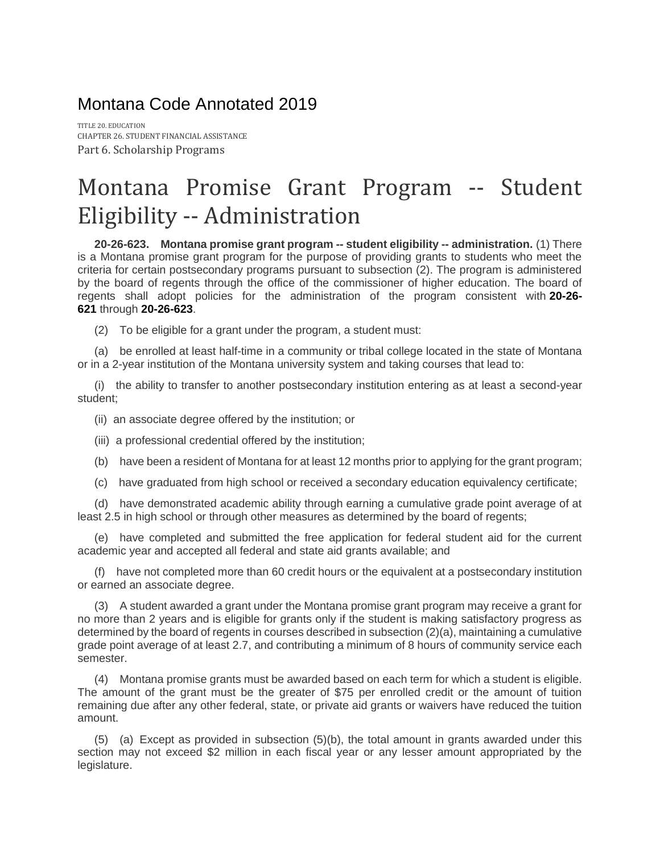Montana Code Annotated 2019

TITLE 20. EDUCATION CHAPTER 26. STUDENT FINANCIAL ASSISTANCE Part 6. Scholarship Programs

## Montana Promise Grant Program -- Student Eligibility -- Administration

**20-26-623. Montana promise grant program -- student eligibility -- administration.** (1) There is a Montana promise grant program for the purpose of providing grants to students who meet the criteria for certain postsecondary programs pursuant to subsection (2). The program is administered by the board of regents through the office of the commissioner of higher education. The board of regents shall adopt policies for the administration of the program consistent with **[20-26-](https://leg.mt.gov/bills/mca/title_0200/chapter_0260/part_0060/section_0210/0200-0260-0060-0210.html) [621](https://leg.mt.gov/bills/mca/title_0200/chapter_0260/part_0060/section_0210/0200-0260-0060-0210.html)** through **[20-26-623](https://leg.mt.gov/bills/mca/title_0200/chapter_0260/part_0060/section_0230/None)**.

(2) To be eligible for a grant under the program, a student must:

(a) be enrolled at least half-time in a community or tribal college located in the state of Montana or in a 2-year institution of the Montana university system and taking courses that lead to:

(i) the ability to transfer to another postsecondary institution entering as at least a second-year student;

(ii) an associate degree offered by the institution; or

(iii) a professional credential offered by the institution;

(b) have been a resident of Montana for at least 12 months prior to applying for the grant program;

(c) have graduated from high school or received a secondary education equivalency certificate;

(d) have demonstrated academic ability through earning a cumulative grade point average of at least 2.5 in high school or through other measures as determined by the board of regents;

(e) have completed and submitted the free application for federal student aid for the current academic year and accepted all federal and state aid grants available; and

(f) have not completed more than 60 credit hours or the equivalent at a postsecondary institution or earned an associate degree.

(3) A student awarded a grant under the Montana promise grant program may receive a grant for no more than 2 years and is eligible for grants only if the student is making satisfactory progress as determined by the board of regents in courses described in subsection (2)(a), maintaining a cumulative grade point average of at least 2.7, and contributing a minimum of 8 hours of community service each semester.

(4) Montana promise grants must be awarded based on each term for which a student is eligible. The amount of the grant must be the greater of \$75 per enrolled credit or the amount of tuition remaining due after any other federal, state, or private aid grants or waivers have reduced the tuition amount.

(5) (a) Except as provided in subsection (5)(b), the total amount in grants awarded under this section may not exceed \$2 million in each fiscal year or any lesser amount appropriated by the legislature.